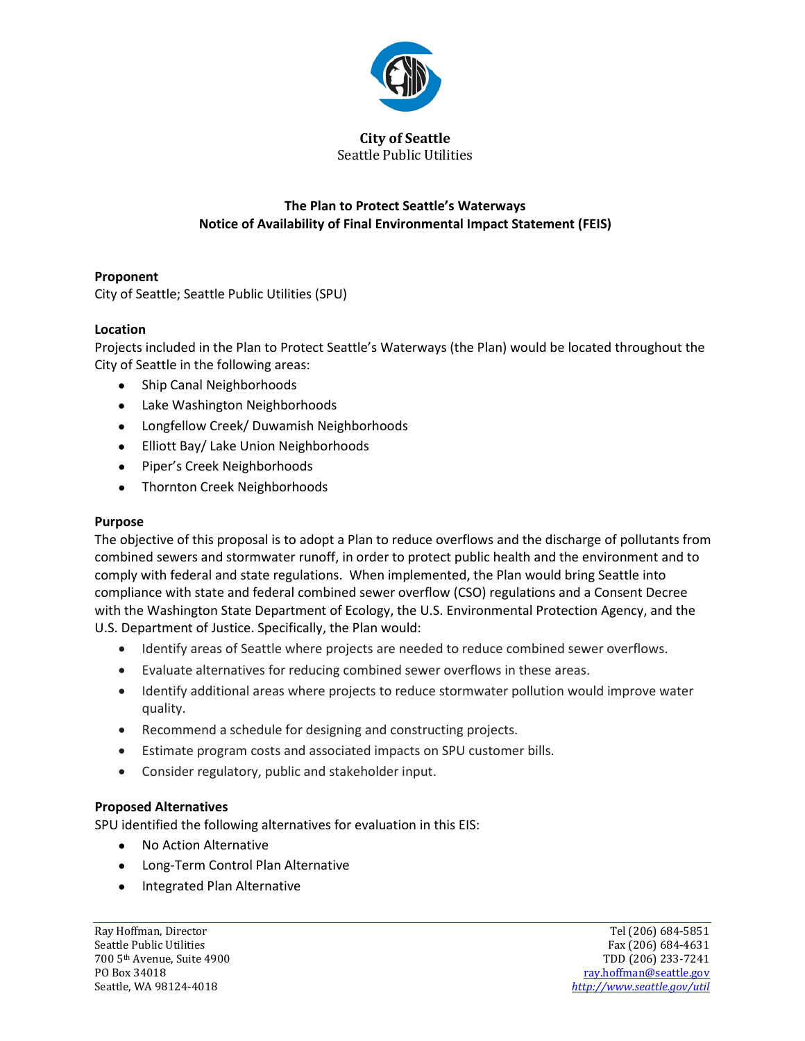

**City of Seattle** Seattle Public Utilities

# **The Plan to Protect Seattle's Waterways Notice of Availability of Final Environmental Impact Statement (FEIS)**

# **Proponent**

City of Seattle; Seattle Public Utilities (SPU)

## **Location**

Projects included in the Plan to Protect Seattle's Waterways (the Plan) would be located throughout the City of Seattle in the following areas:

- Ship Canal Neighborhoods
- Lake Washington Neighborhoods
- Longfellow Creek/ Duwamish Neighborhoods
- Elliott Bay/ Lake Union Neighborhoods
- Piper's Creek Neighborhoods
- Thornton Creek Neighborhoods

## **Purpose**

The objective of this proposal is to adopt a Plan to reduce overflows and the discharge of pollutants from combined sewers and stormwater runoff, in order to protect public health and the environment and to comply with federal and state regulations. When implemented, the Plan would bring Seattle into compliance with state and federal combined sewer overflow (CSO) regulations and a Consent Decree with the Washington State Department of Ecology, the U.S. Environmental Protection Agency, and the U.S. Department of Justice. Specifically, the Plan would:

- Identify areas of Seattle where projects are needed to reduce combined sewer overflows.
- Evaluate alternatives for reducing combined sewer overflows in these areas.
- Identify additional areas where projects to reduce stormwater pollution would improve water quality.
- Recommend a schedule for designing and constructing projects.
- Estimate program costs and associated impacts on SPU customer bills.
- Consider regulatory, public and stakeholder input.

## **Proposed Alternatives**

SPU identified the following alternatives for evaluation in this EIS:

- No Action Alternative
- Long-Term Control Plan Alternative
- Integrated Plan Alternative

Ray Hoffman, Director and Tel (206) 684-5851<br>
Seattle Public Utilities Tel (206) 684-4631 700 5<sup>th</sup> Avenue, Suite 4900<br>PO Box 34018

Fax (206) 684-4631<br>TDD (206) 233-7241 PO Box 34018 [ray.hoffman@seattle.gov](mailto:ray.hoffman@seattle.gov)<br>
Seattle, WA 98124-4018 ray.hoffman@seattle.gov/util Seattle, WA 98124-4018 *<http://www.seattle.gov/util>*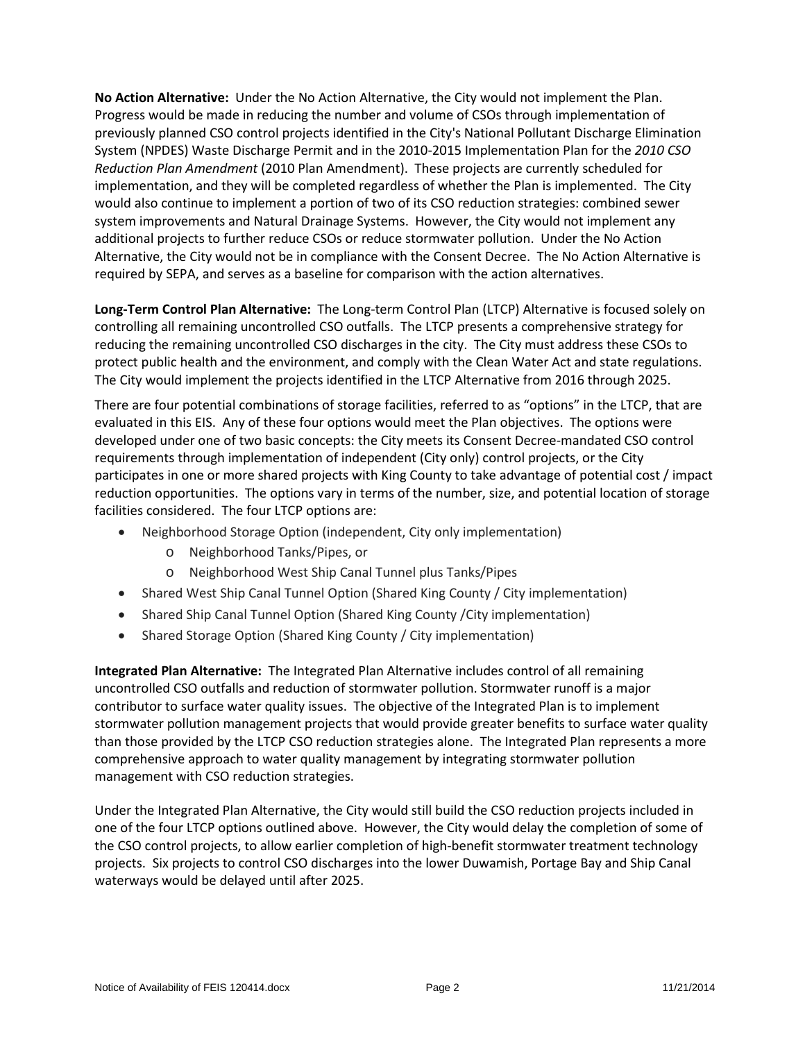**No Action Alternative:** Under the No Action Alternative, the City would not implement the Plan. Progress would be made in reducing the number and volume of CSOs through implementation of previously planned CSO control projects identified in the City's National Pollutant Discharge Elimination System (NPDES) Waste Discharge Permit and in the 2010-2015 Implementation Plan for the *2010 CSO Reduction Plan Amendment* (2010 Plan Amendment). These projects are currently scheduled for implementation, and they will be completed regardless of whether the Plan is implemented. The City would also continue to implement a portion of two of its CSO reduction strategies: combined sewer system improvements and Natural Drainage Systems. However, the City would not implement any additional projects to further reduce CSOs or reduce stormwater pollution. Under the No Action Alternative, the City would not be in compliance with the Consent Decree. The No Action Alternative is required by SEPA, and serves as a baseline for comparison with the action alternatives.

**Long-Term Control Plan Alternative:** The Long-term Control Plan (LTCP) Alternative is focused solely on controlling all remaining uncontrolled CSO outfalls. The LTCP presents a comprehensive strategy for reducing the remaining uncontrolled CSO discharges in the city. The City must address these CSOs to protect public health and the environment, and comply with the Clean Water Act and state regulations. The City would implement the projects identified in the LTCP Alternative from 2016 through 2025.

There are four potential combinations of storage facilities, referred to as "options" in the LTCP, that are evaluated in this EIS. Any of these four options would meet the Plan objectives. The options were developed under one of two basic concepts: the City meets its Consent Decree-mandated CSO control requirements through implementation of independent (City only) control projects, or the City participates in one or more shared projects with King County to take advantage of potential cost / impact reduction opportunities. The options vary in terms of the number, size, and potential location of storage facilities considered. The four LTCP options are:

- Neighborhood Storage Option (independent, City only implementation)
	- o Neighborhood Tanks/Pipes, or
	- o Neighborhood West Ship Canal Tunnel plus Tanks/Pipes
- Shared West Ship Canal Tunnel Option (Shared King County / City implementation)
- Shared Ship Canal Tunnel Option (Shared King County /City implementation)
- Shared Storage Option (Shared King County / City implementation)

**Integrated Plan Alternative:** The Integrated Plan Alternative includes control of all remaining uncontrolled CSO outfalls and reduction of stormwater pollution. Stormwater runoff is a major contributor to surface water quality issues. The objective of the Integrated Plan is to implement stormwater pollution management projects that would provide greater benefits to surface water quality than those provided by the LTCP CSO reduction strategies alone. The Integrated Plan represents a more comprehensive approach to water quality management by integrating stormwater pollution management with CSO reduction strategies.

Under the Integrated Plan Alternative, the City would still build the CSO reduction projects included in one of the four LTCP options outlined above. However, the City would delay the completion of some of the CSO control projects, to allow earlier completion of high-benefit stormwater treatment technology projects. Six projects to control CSO discharges into the lower Duwamish, Portage Bay and Ship Canal waterways would be delayed until after 2025.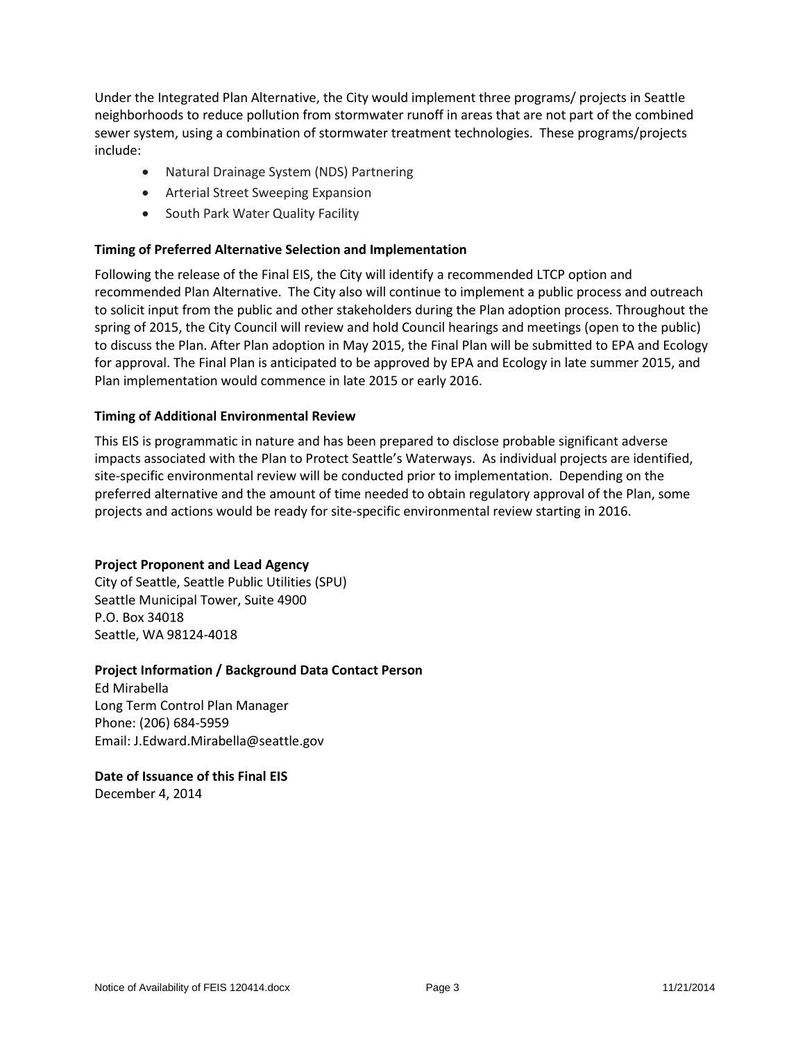Under the Integrated Plan Alternative, the City would implement three programs/ projects in Seattle neighborhoods to reduce pollution from stormwater runoff in areas that are not part of the combined sewer system, using a combination of stormwater treatment technologies. These programs/projects include:

- Natural Drainage System (NDS) Partnering
- Arterial Street Sweeping Expansion
- South Park Water Quality Facility

### **Timing of Preferred Alternative Selection and Implementation**

Following the release of the Final EIS, the City will identify a recommended LTCP option and recommended Plan Alternative. The City also will continue to implement a public process and outreach to solicit input from the public and other stakeholders during the Plan adoption process. Throughout the spring of 2015, the City Council will review and hold Council hearings and meetings (open to the public) to discuss the Plan. After Plan adoption in May 2015, the Final Plan will be submitted to EPA and Ecology for approval. The Final Plan is anticipated to be approved by EPA and Ecology in late summer 2015, and Plan implementation would commence in late 2015 or early 2016.

#### **Timing of Additional Environmental Review**

This EIS is programmatic in nature and has been prepared to disclose probable significant adverse impacts associated with the Plan to Protect Seattle's Waterways. As individual projects are identified, site-specific environmental review will be conducted prior to implementation. Depending on the preferred alternative and the amount of time needed to obtain regulatory approval of the Plan, some projects and actions would be ready for site-specific environmental review starting in 2016.

#### **Project Proponent and Lead Agency**

City of Seattle, Seattle Public Utilities (SPU) Seattle Municipal Tower, Suite 4900 P.O. Box 34018 Seattle, WA 98124-4018

#### **Project Information / Background Data Contact Person**

Ed Mirabella Long Term Control Plan Manager Phone: (206) 684-5959 Email: J.Edward.Mirabella@seattle.gov

# **Date of Issuance of this Final EIS**

December 4, 2014